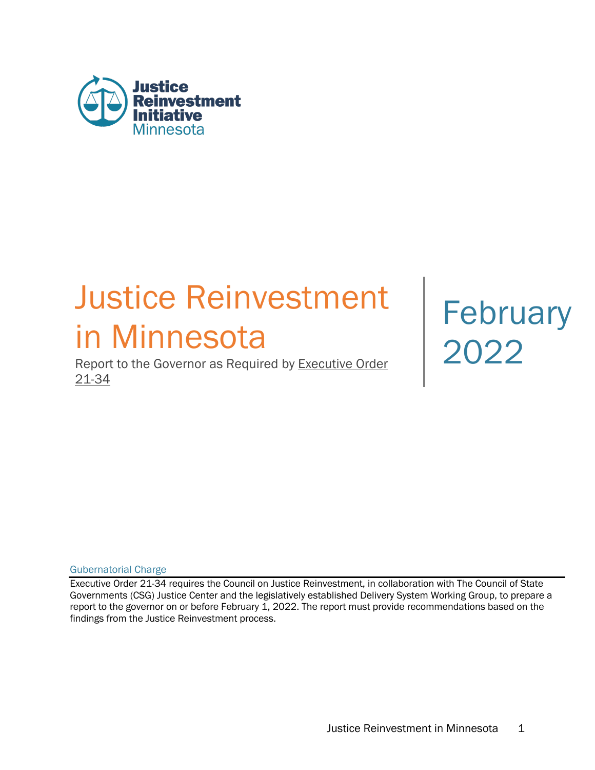

# Justice Reinvestment February<br>
in Minnesota<br>
Report to the Governor as Required by Executive Order

Report to the Governor as Required by Executive Order 21-34

Gubernatorial Charge

Executive Order 21-34 requires the Council on Justice Reinvestment, in collaboration with The Council of State Governments (CSG) Justice Center and the legislatively established Delivery System Working Group, to prepare a report to the governor on or before February 1, 2022. The report must provide recommendations based on the findings from the Justice Reinvestment process.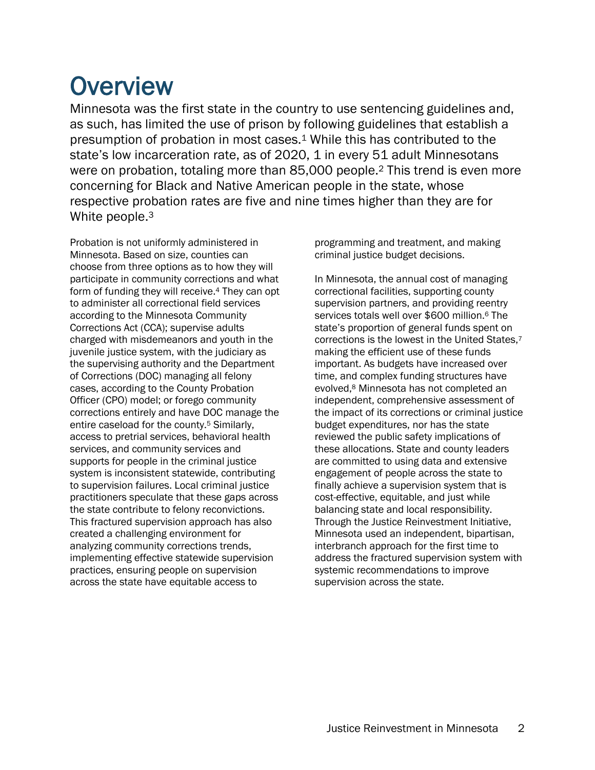## **Overview**

Minnesota was the first state in the country to use sentencing guidelines and, as such, has limited the use of prison by following guidelines that establish a presumption of probation in most cases.1 While this has contributed to the state's low incarceration rate, as of 2020, 1 in every 51 adult Minnesotans were on probation, totaling more than 85,000 people.2 This trend is even more concerning for Black and Native American people in the state, whose respective probation rates are five and nine times higher than they are for White people.<sup>3</sup>

Probation is not uniformly administered in Minnesota. Based on size, counties can choose from three options as to how they will participate in community corrections and what form of funding they will receive.4 They can opt to administer all correctional field services according to the Minnesota Community Corrections Act (CCA); supervise adults charged with misdemeanors and youth in the juvenile justice system, with the judiciary as the supervising authority and the Department of Corrections (DOC) managing all felony cases, according to the County Probation Officer (CPO) model; or forego community corrections entirely and have DOC manage the entire caseload for the county.5 Similarly, access to pretrial services, behavioral health services, and community services and supports for people in the criminal justice system is inconsistent statewide, contributing to supervision failures. Local criminal justice practitioners speculate that these gaps across the state contribute to felony reconvictions. This fractured supervision approach has also created a challenging environment for analyzing community corrections trends, implementing effective statewide supervision practices, ensuring people on supervision across the state have equitable access to

programming and treatment, and making criminal justice budget decisions.

In Minnesota, the annual cost of managing correctional facilities, supporting county supervision partners, and providing reentry services totals well over \$600 million.<sup>6</sup> The state's proportion of general funds spent on corrections is the lowest in the United States,7 making the efficient use of these funds important. As budgets have increased over time, and complex funding structures have evolved,8 Minnesota has not completed an independent, comprehensive assessment of the impact of its corrections or criminal justice budget expenditures, nor has the state reviewed the public safety implications of these allocations. State and county leaders are committed to using data and extensive engagement of people across the state to finally achieve a supervision system that is cost-effective, equitable, and just while balancing state and local responsibility. Through the Justice Reinvestment Initiative, Minnesota used an independent, bipartisan, interbranch approach for the first time to address the fractured supervision system with systemic recommendations to improve supervision across the state.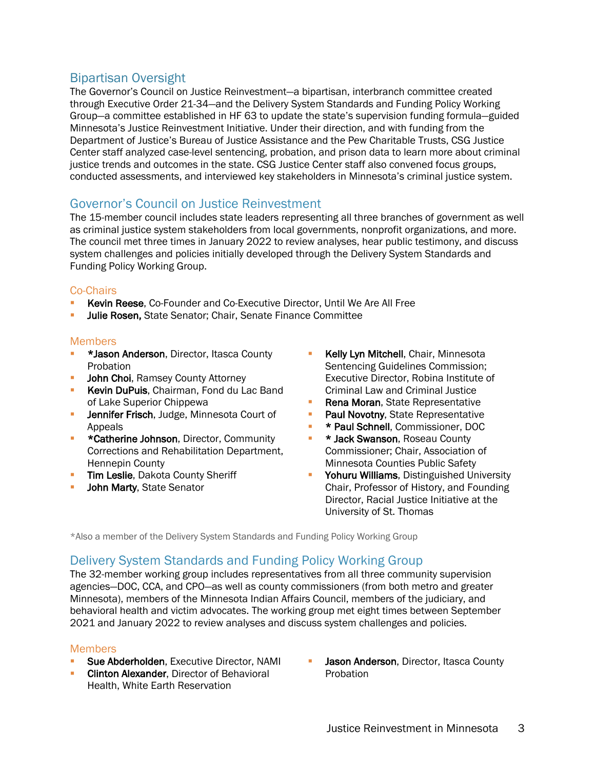### Bipartisan Oversight

The Governor's Council on Justice Reinvestment—a bipartisan, interbranch committee created through Executive Order 21-34—and the Delivery System Standards and Funding Policy Working Group—a committee established in HF 63 to update the state's supervision funding formula—guided Minnesota's Justice Reinvestment Initiative. Under their direction, and with funding from the Department of Justice's Bureau of Justice Assistance and the Pew Charitable Trusts, CSG Justice Center staff analyzed case-level sentencing, probation, and prison data to learn more about criminal justice trends and outcomes in the state. CSG Justice Center staff also convened focus groups, conducted assessments, and interviewed key stakeholders in Minnesota's criminal justice system.

### Governor's Council on Justice Reinvestment

The 15-member council includes state leaders representing all three branches of government as well as criminal justice system stakeholders from local governments, nonprofit organizations, and more. The council met three times in January 2022 to review analyses, hear public testimony, and discuss system challenges and policies initially developed through the Delivery System Standards and Funding Policy Working Group.

#### Co-Chairs

- Kevin Reese, Co-Founder and Co-Executive Director, Until We Are All Free
- Julie Rosen, State Senator; Chair, Senate Finance Committee

#### Members

- § \*Jason Anderson, Director, Itasca County Probation
- **John Choi, Ramsey County Attorney**
- **E** Kevin DuPuis, Chairman, Fond du Lac Band of Lake Superior Chippewa
- **Jennifer Frisch, Judge, Minnesota Court of** Appeals
- **EXECT** \*Catherine Johnson, Director, Community Corrections and Rehabilitation Department, Hennepin County
- **Tim Leslie, Dakota County Sheriff**
- John Marty, State Senator
- Kelly Lyn Mitchell, Chair, Minnesota Sentencing Guidelines Commission; Executive Director, Robina Institute of Criminal Law and Criminal Justice
- Rena Moran, State Representative
- **Paul Novotny, State Representative**
- § \* Paul Schnell, Commissioner, DOC
- **E** \* Jack Swanson, Roseau County Commissioner; Chair, Association of Minnesota Counties Public Safety
- **Yohuru Williams**, Distinguished University Chair, Professor of History, and Founding Director, Racial Justice Initiative at the University of St. Thomas

\*Also a member of the Delivery System Standards and Funding Policy Working Group

### Delivery System Standards and Funding Policy Working Group

The 32-member working group includes representatives from all three community supervision agencies—DOC, CCA, and CPO—as well as county commissioners (from both metro and greater Minnesota), members of the Minnesota Indian Affairs Council, members of the judiciary, and behavioral health and victim advocates. The working group met eight times between September 2021 and January 2022 to review analyses and discuss system challenges and policies.

#### **Members**

- Sue Abderholden, Executive Director, NAMI
- **Clinton Alexander, Director of Behavioral** Health, White Earth Reservation
- Jason Anderson, Director, Itasca County Probation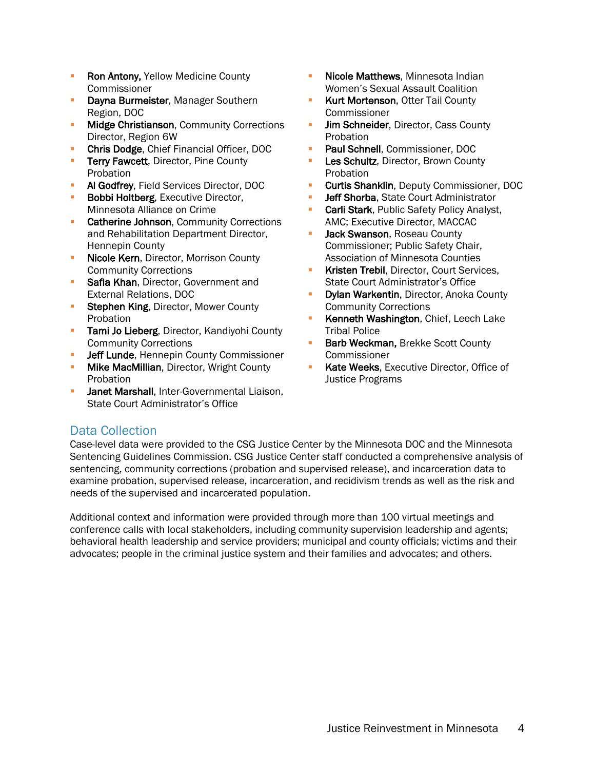- Ron Antony, Yellow Medicine County Commissioner
- Dayna Burmeister, Manager Southern Region, DOC
- **Midge Christianson, Community Corrections** Director, Region 6W
- § Chris Dodge, Chief Financial Officer, DOC
- **Terry Fawcett, Director, Pine County** Probation
- § Al Godfrey, Field Services Director, DOC
- **Bobbi Holtberg, Executive Director,** Minnesota Alliance on Crime
- **Catherine Johnson**, Community Corrections and Rehabilitation Department Director, Hennepin County
- **Nicole Kern**, Director, Morrison County Community Corrections
- **Safia Khan, Director, Government and** External Relations, DOC
- **Stephen King, Director, Mower County** Probation
- **Tami Jo Lieberg**, Director, Kandiyohi County Community Corrections
- Jeff Lunde, Hennepin County Commissioner
- **Mike MacMillian, Director, Wright County Probation**
- **Janet Marshall, Inter-Governmental Liaison,** State Court Administrator's Office
- Nicole Matthews, Minnesota Indian Women's Sexual Assault Coalition
- Kurt Mortenson, Otter Tail County Commissioner
- **Jim Schneider**, Director, Cass County Probation
- § Paul Schnell, Commissioner, DOC
- Les Schultz, Director, Brown County Probation
- § Curtis Shanklin, Deputy Commissioner, DOC
- **Jeff Shorba**, State Court Administrator
- **Carli Stark**, Public Safety Policy Analyst, AMC; Executive Director, MACCAC
- Jack Swanson, Roseau County Commissioner; Public Safety Chair, Association of Minnesota Counties
- § Kristen Trebil, Director, Court Services, State Court Administrator's Office
- § Dylan Warkentin, Director, Anoka County Community Corrections
- § Kenneth Washington, Chief, Leech Lake Tribal Police
- Barb Weckman, Brekke Scott County Commissioner
- Kate Weeks, Executive Director, Office of Justice Programs

### Data Collection

Case-level data were provided to the CSG Justice Center by the Minnesota DOC and the Minnesota Sentencing Guidelines Commission. CSG Justice Center staff conducted a comprehensive analysis of sentencing, community corrections (probation and supervised release), and incarceration data to examine probation, supervised release, incarceration, and recidivism trends as well as the risk and needs of the supervised and incarcerated population.

Additional context and information were provided through more than 100 virtual meetings and conference calls with local stakeholders, including community supervision leadership and agents; behavioral health leadership and service providers; municipal and county officials; victims and their advocates; people in the criminal justice system and their families and advocates; and others.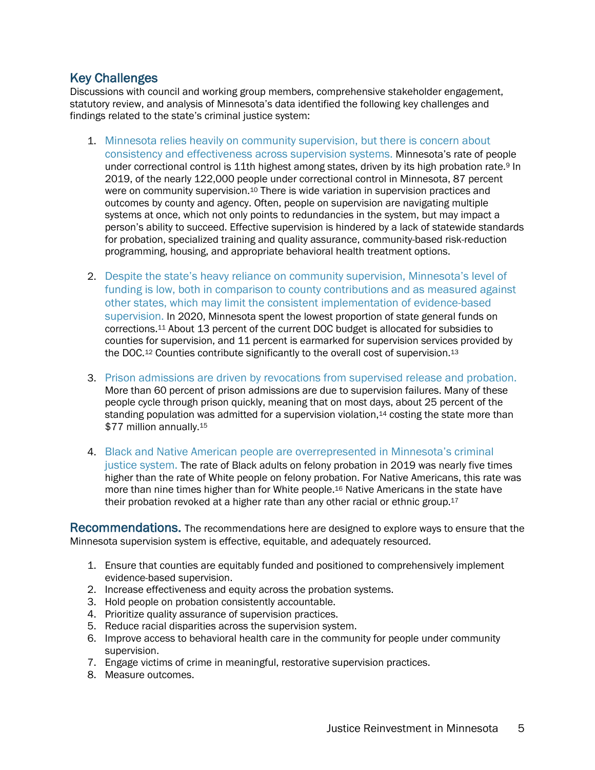Key Challenges<br>Discussions with council and working group members, comprehensive stakeholder engagement, statutory review, and analysis of Minnesota's data identified the following key challenges and findings related to the state's criminal justice system:

- 1. Minnesota relies heavily on community supervision, but there is concern about consistency and effectiveness across supervision systems. Minnesota's rate of people under correctional control is 11th highest among states, driven by its high probation rate.<sup>9</sup> In 2019, of the nearly 122,000 people under correctional control in Minnesota, 87 percent were on community supervision.<sup>10</sup> There is wide variation in supervision practices and outcomes by county and agency. Often, people on supervision are navigating multiple systems at once, which not only points to redundancies in the system, but may impact a person's ability to succeed. Effective supervision is hindered by a lack of statewide standards for probation, specialized training and quality assurance, community-based risk-reduction programming, housing, and appropriate behavioral health treatment options.
- 2. Despite the state's heavy reliance on community supervision, Minnesota's level of funding is low, both in comparison to county contributions and as measured against other states, which may limit the consistent implementation of evidence-based supervision. In 2020, Minnesota spent the lowest proportion of state general funds on corrections.11 About 13 percent of the current DOC budget is allocated for subsidies to counties for supervision, and 11 percent is earmarked for supervision services provided by the DOC.<sup>12</sup> Counties contribute significantly to the overall cost of supervision.<sup>13</sup>
- 3. Prison admissions are driven by revocations from supervised release and probation. More than 60 percent of prison admissions are due to supervision failures. Many of these people cycle through prison quickly, meaning that on most days, about 25 percent of the standing population was admitted for a supervision violation,<sup>14</sup> costing the state more than \$77 million annually.<sup>15</sup>
- 4. Black and Native American people are overrepresented in Minnesota's criminal justice system. The rate of Black adults on felony probation in 2019 was nearly five times higher than the rate of White people on felony probation. For Native Americans, this rate was more than nine times higher than for White people.16 Native Americans in the state have their probation revoked at a higher rate than any other racial or ethnic group.<sup>17</sup>

Recommendations. The recommendations here are designed to explore ways to ensure that the Minnesota supervision system is effective, equitable, and adequately resourced.

- 1. Ensure that counties are equitably funded and positioned to comprehensively implement evidence-based supervision.
- 2. Increase effectiveness and equity across the probation systems.
- 3. Hold people on probation consistently accountable.
- 4. Prioritize quality assurance of supervision practices.
- 5. Reduce racial disparities across the supervision system.
- 6. Improve access to behavioral health care in the community for people under community supervision.
- 7. Engage victims of crime in meaningful, restorative supervision practices.
- 8. Measure outcomes.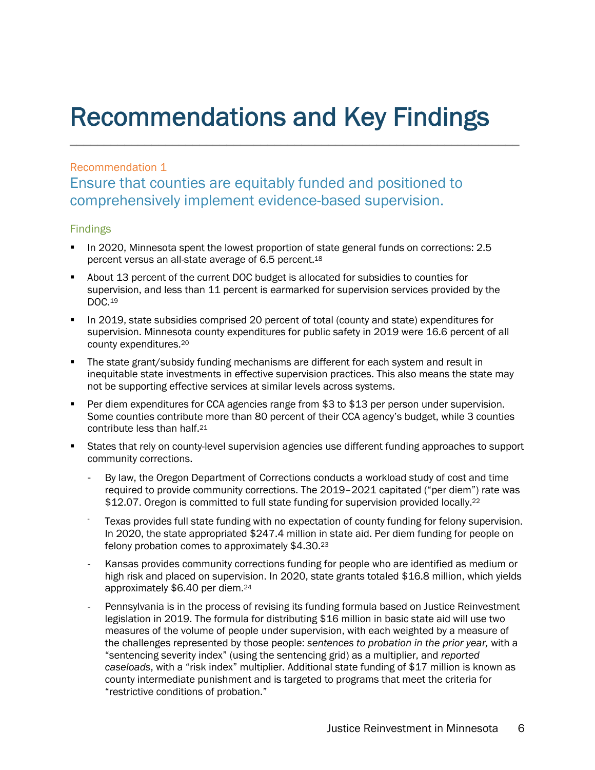## Recommendations and Key Findings

### Recommendation 1

Ensure that counties are equitably funded and positioned to comprehensively implement evidence-based supervision.

### Findings

- § In 2020, Minnesota spent the lowest proportion of state general funds on corrections: 2.5 percent versus an all-state average of 6.5 percent.18
- § About 13 percent of the current DOC budget is allocated for subsidies to counties for supervision, and less than 11 percent is earmarked for supervision services provided by the DOC.19
- **In 2019, state subsidies comprised 20 percent of total (county and state) expenditures for** supervision. Minnesota county expenditures for public safety in 2019 were 16.6 percent of all county expenditures.20
- The state grant/subsidy funding mechanisms are different for each system and result in inequitable state investments in effective supervision practices. This also means the state may not be supporting effective services at similar levels across systems.
- Per diem expenditures for CCA agencies range from \$3 to \$13 per person under supervision. Some counties contribute more than 80 percent of their CCA agency's budget, while 3 counties contribute less than half.21
- § States that rely on county-level supervision agencies use different funding approaches to support community corrections.
	- By law, the Oregon Department of Corrections conducts a workload study of cost and time required to provide community corrections. The 2019–2021 capitated ("per diem") rate was \$12.07. Oregon is committed to full state funding for supervision provided locally.<sup>22</sup>
	- Texas provides full state funding with no expectation of county funding for felony supervision. In 2020, the state appropriated \$247.4 million in state aid. Per diem funding for people on felony probation comes to approximately \$4.30.23
	- Kansas provides community corrections funding for people who are identified as medium or high risk and placed on supervision. In 2020, state grants totaled \$16.8 million, which yields approximately \$6.40 per diem.24
	- Pennsylvania is in the process of revising its funding formula based on Justice Reinvestment legislation in 2019. The formula for distributing \$16 million in basic state aid will use two measures of the volume of people under supervision, with each weighted by a measure of the challenges represented by those people: *sentences to probation in the prior year,* with a "sentencing severity index" (using the sentencing grid) as a multiplier, and *reported caseloads*, with a "risk index" multiplier. Additional state funding of \$17 million is known as county intermediate punishment and is targeted to programs that meet the criteria for "restrictive conditions of probation."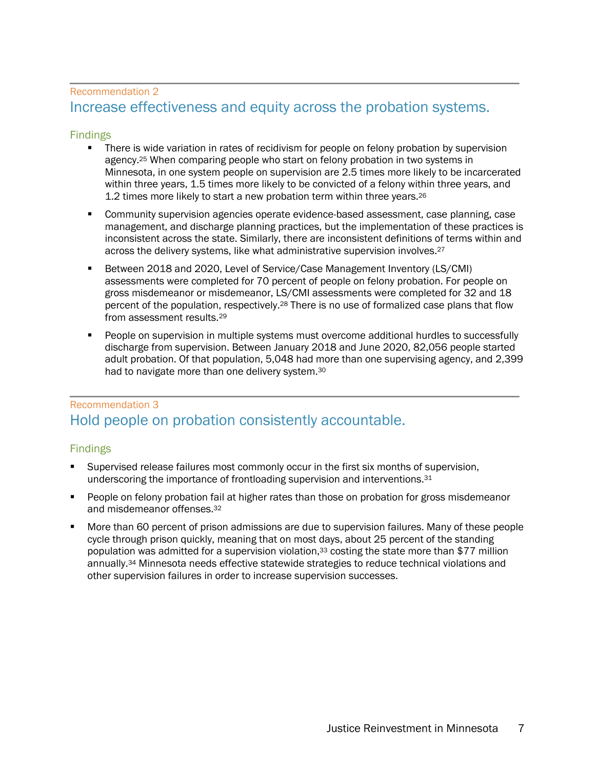### \_\_\_\_\_\_\_\_\_\_\_\_\_\_\_\_\_\_\_\_\_\_\_\_\_\_\_\_\_\_\_\_\_\_\_\_\_\_\_\_\_\_\_\_\_\_\_\_\_\_\_\_\_\_\_\_\_\_\_\_\_\_\_\_\_\_ Recommendation <sup>2</sup> Increase effectiveness and equity across the probation systems.

#### Findings

- **•** There is wide variation in rates of recidivism for people on felony probation by supervision agency.<sup>25</sup> When comparing people who start on felony probation in two systems in Minnesota, in one system people on supervision are 2.5 times more likely to be incarcerated within three years, 1.5 times more likely to be convicted of a felony within three years, and 1.2 times more likely to start a new probation term within three years.26
- § Community supervision agencies operate evidence-based assessment, case planning, case management, and discharge planning practices, but the implementation of these practices is inconsistent across the state. Similarly, there are inconsistent definitions of terms within and across the delivery systems, like what administrative supervision involves.<sup>27</sup>
- § Between 2018 and 2020, Level of Service/Case Management Inventory (LS/CMI) assessments were completed for 70 percent of people on felony probation. For people on gross misdemeanor or misdemeanor, LS/CMI assessments were completed for 32 and 18 percent of the population, respectively.<sup>28</sup> There is no use of formalized case plans that flow from assessment results.29
- People on supervision in multiple systems must overcome additional hurdles to successfully discharge from supervision. Between January 2018 and June 2020, 82,056 people started adult probation. Of that population, 5,048 had more than one supervising agency, and 2,399 had to navigate more than one delivery system.30

### \_\_\_\_\_\_\_\_\_\_\_\_\_\_\_\_\_\_\_\_\_\_\_\_\_\_\_\_\_\_\_\_\_\_\_\_\_\_\_\_\_\_\_\_\_\_\_\_\_\_\_\_\_\_\_\_\_\_\_\_\_\_\_\_\_\_ Recommendation <sup>3</sup> Hold people on probation consistently accountable.

### Findings

- Supervised release failures most commonly occur in the first six months of supervision, underscoring the importance of frontloading supervision and interventions.31
- People on felony probation fail at higher rates than those on probation for gross misdemeanor and misdemeanor offenses.32
- § More than 60 percent of prison admissions are due to supervision failures. Many of these people cycle through prison quickly, meaning that on most days, about 25 percent of the standing population was admitted for a supervision violation,<sup>33</sup> costing the state more than \$77 million annually.34 Minnesota needs effective statewide strategies to reduce technical violations and other supervision failures in order to increase supervision successes.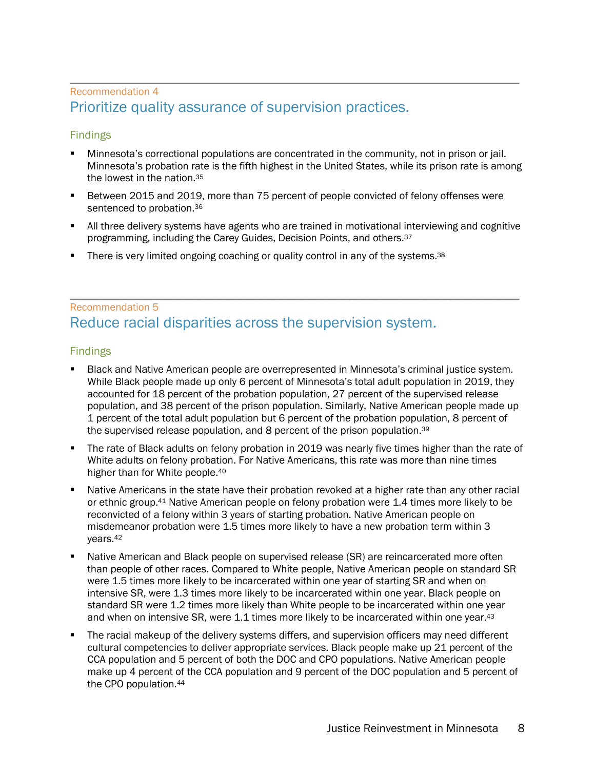### \_\_\_\_\_\_\_\_\_\_\_\_\_\_\_\_\_\_\_\_\_\_\_\_\_\_\_\_\_\_\_\_\_\_\_\_\_\_\_\_\_\_\_\_\_\_\_\_\_\_\_\_\_\_\_\_\_\_\_\_\_\_\_\_\_\_ Recommendation <sup>4</sup> Prioritize quality assurance of supervision practices.

### Findings

- § Minnesota's correctional populations are concentrated in the community, not in prison or jail. Minnesota's probation rate is the fifth highest in the United States, while its prison rate is among the lowest in the nation.35
- § Between 2015 and 2019, more than 75 percent of people convicted of felony offenses were sentenced to probation.<sup>36</sup>
- All three delivery systems have agents who are trained in motivational interviewing and cognitive programming, including the Carey Guides, Decision Points, and others.37
- There is very limited ongoing coaching or quality control in any of the systems.<sup>38</sup>

### \_\_\_\_\_\_\_\_\_\_\_\_\_\_\_\_\_\_\_\_\_\_\_\_\_\_\_\_\_\_\_\_\_\_\_\_\_\_\_\_\_\_\_\_\_\_\_\_\_\_\_\_\_\_\_\_\_\_\_\_\_\_\_\_\_\_ Recommendation <sup>5</sup> Reduce racial disparities across the supervision system.

#### Findings

- § Black and Native American people are overrepresented in Minnesota's criminal justice system. While Black people made up only 6 percent of Minnesota's total adult population in 2019, they accounted for 18 percent of the probation population, 27 percent of the supervised release population, and 38 percent of the prison population. Similarly, Native American people made up 1 percent of the total adult population but 6 percent of the probation population, 8 percent of the supervised release population, and 8 percent of the prison population.<sup>39</sup>
- The rate of Black adults on felony probation in 2019 was nearly five times higher than the rate of White adults on felony probation. For Native Americans, this rate was more than nine times higher than for White people.<sup>40</sup>
- Native Americans in the state have their probation revoked at a higher rate than any other racial or ethnic group.41 Native American people on felony probation were 1.4 times more likely to be reconvicted of a felony within 3 years of starting probation. Native American people on misdemeanor probation were 1.5 times more likely to have a new probation term within 3 years.42
- Native American and Black people on supervised release (SR) are reincarcerated more often than people of other races. Compared to White people, Native American people on standard SR were 1.5 times more likely to be incarcerated within one year of starting SR and when on intensive SR, were 1.3 times more likely to be incarcerated within one year. Black people on standard SR were 1.2 times more likely than White people to be incarcerated within one year and when on intensive SR, were 1.1 times more likely to be incarcerated within one year.43
- The racial makeup of the delivery systems differs, and supervision officers may need different cultural competencies to deliver appropriate services. Black people make up 21 percent of the CCA population and 5 percent of both the DOC and CPO populations. Native American people make up 4 percent of the CCA population and 9 percent of the DOC population and 5 percent of the CPO population.44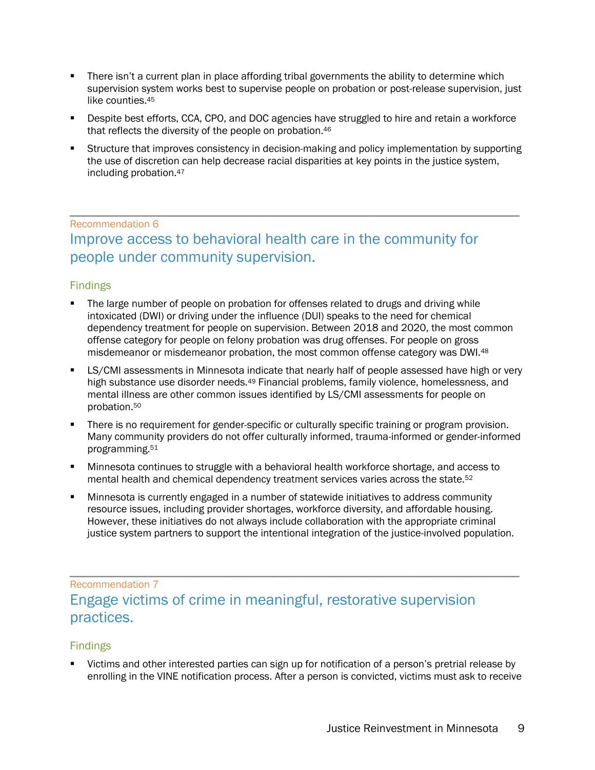- There isn't a current plan in place affording tribal governments the ability to determine which supervision system works best to supervise people on probation or post-release supervision, just like counties.45
- § Despite best efforts, CCA, CPO, and DOC agencies have struggled to hire and retain a workforce that reflects the diversity of the people on probation.46
- § Structure that improves consistency in decision-making and policy implementation by supporting the use of discretion can help decrease racial disparities at key points in the justice system, including probation.47

### \_\_\_\_\_\_\_\_\_\_\_\_\_\_\_\_\_\_\_\_\_\_\_\_\_\_\_\_\_\_\_\_\_\_\_\_\_\_\_\_\_\_\_\_\_\_\_\_\_\_\_\_\_\_\_\_\_\_\_\_\_\_\_\_\_\_ Recommendation <sup>6</sup> Improve access to behavioral health care in the community for people under community supervision.

#### Findings

- The large number of people on probation for offenses related to drugs and driving while intoxicated (DWI) or driving under the influence (DUI) speaks to the need for chemical dependency treatment for people on supervision. Between 2018 and 2020, the most common offense category for people on felony probation was drug offenses. For people on gross misdemeanor or misdemeanor probation, the most common offense category was DWI.<sup>48</sup>
- **LS/CMI assessments in Minnesota indicate that nearly half of people assessed have high or very** high substance use disorder needs.<sup>49</sup> Financial problems, family violence, homelessness, and mental illness are other common issues identified by LS/CMI assessments for people on probation.50
- There is no requirement for gender-specific or culturally specific training or program provision. Many community providers do not offer culturally informed, trauma-informed or gender-informed programming.51
- § Minnesota continues to struggle with a behavioral health workforce shortage, and access to mental health and chemical dependency treatment services varies across the state.<sup>52</sup>
- § Minnesota is currently engaged in a number of statewide initiatives to address community resource issues, including provider shortages, workforce diversity, and affordable housing. However, these initiatives do not always include collaboration with the appropriate criminal justice system partners to support the intentional integration of the justice-involved population.

### \_\_\_\_\_\_\_\_\_\_\_\_\_\_\_\_\_\_\_\_\_\_\_\_\_\_\_\_\_\_\_\_\_\_\_\_\_\_\_\_\_\_\_\_\_\_\_\_\_\_\_\_\_\_\_\_\_\_\_\_\_\_\_\_\_\_ Recommendation <sup>7</sup> Engage victims of crime in meaningful, restorative supervision practices.

### Findings

§ Victims and other interested parties can sign up for notification of a person's pretrial release by enrolling in the VINE notification process. After a person is convicted, victims must ask to receive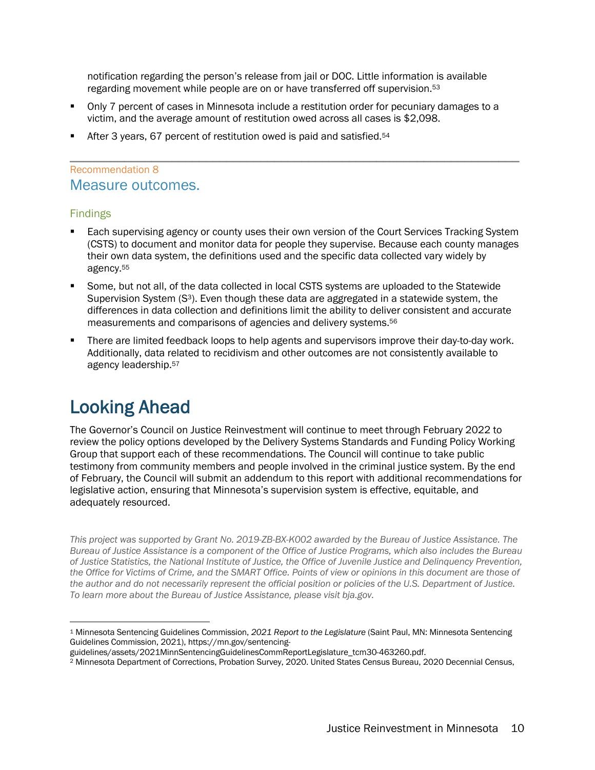notification regarding the person's release from jail or DOC. Little information is available regarding movement while people are on or have transferred off supervision.53

- § Only 7 percent of cases in Minnesota include a restitution order for pecuniary damages to a victim, and the average amount of restitution owed across all cases is \$2,098.
- § After 3 years, 67 percent of restitution owed is paid and satisfied.54

### \_\_\_\_\_\_\_\_\_\_\_\_\_\_\_\_\_\_\_\_\_\_\_\_\_\_\_\_\_\_\_\_\_\_\_\_\_\_\_\_\_\_\_\_\_\_\_\_\_\_\_\_\_\_\_\_\_\_\_\_\_\_\_\_\_\_ Recommendation <sup>8</sup> Measure outcomes.

### Findings

- Each supervising agency or county uses their own version of the Court Services Tracking System (CSTS) to document and monitor data for people they supervise. Because each county manages their own data system, the definitions used and the specific data collected vary widely by agency.55
- § Some, but not all, of the data collected in local CSTS systems are uploaded to the Statewide Supervision System (S<sup>3</sup>). Even though these data are aggregated in a statewide system, the differences in data collection and definitions limit the ability to deliver consistent and accurate measurements and comparisons of agencies and delivery systems.56
- § There are limited feedback loops to help agents and supervisors improve their day-to-day work. Additionally, data related to recidivism and other outcomes are not consistently available to agency leadership.57

### Looking Ahead

The Governor's Council on Justice Reinvestment will continue to meet through February 2022 to review the policy options developed by the Delivery Systems Standards and Funding Policy Working Group that support each of these recommendations. The Council will continue to take public testimony from community members and people involved in the criminal justice system. By the end of February, the Council will submit an addendum to this report with additional recommendations for legislative action, ensuring that Minnesota's supervision system is effective, equitable, and adequately resourced.

*This project was supported by Grant No. 2019-ZB-BX-K002 awarded by the Bureau of Justice Assistance. The Bureau of Justice Assistance is a component of the Office of Justice Programs, which also includes the Bureau of Justice Statistics, the National Institute of Justice, the Office of Juvenile Justice and Delinquency Prevention, the Office for Victims of Crime, and the SMART Office. Points of view or opinions in this document are those of the author and do not necessarily represent the official position or policies of the U.S. Department of Justice. To learn more about the Bureau of Justice Assistance, please visit bja.gov.*

<sup>1</sup> Minnesota Sentencing Guidelines Commission, *2021 Report to the Legislature* (Saint Paul, MN: Minnesota Sentencing Guidelines Commission, 2021), https://mn.gov/sentencing-

guidelines/assets/2021MinnSentencingGuidelinesCommReportLegislature\_tcm30-463260.pdf.

<sup>2</sup> Minnesota Department of Corrections, Probation Survey, 2020. United States Census Bureau, 2020 Decennial Census,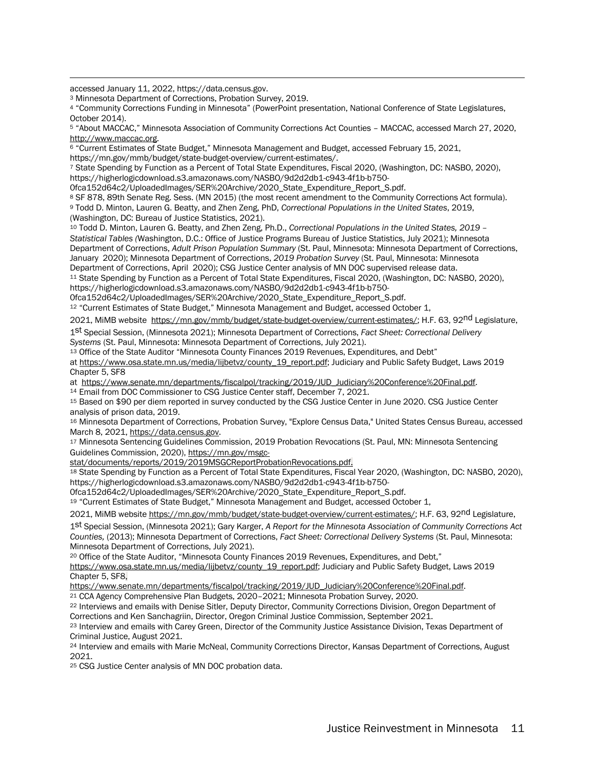accessed January 11, 2022, https://data.census.gov.

<sup>3</sup> Minnesota Department of Corrections, Probation Survey, 2019.

<sup>4</sup> "Community Corrections Funding in Minnesota" (PowerPoint presentation, National Conference of State Legislatures, October 2014).

<sup>5</sup> "About MACCAC," Minnesota Association of Community Corrections Act Counties – MACCAC, accessed March 27, 2020, http://www.maccac.org.

<sup>6</sup> "Current Estimates of State Budget," Minnesota Management and Budget, accessed February 15, 2021,

https://mn.gov/mmb/budget/state-budget-overview/current-estimates/.

<sup>7</sup> State Spending by Function as a Percent of Total State Expenditures, Fiscal 2020, (Washington, DC: NASBO, 2020), https://higherlogicdownload.s3.amazonaws.com/NASBO/9d2d2db1-c943-4f1b-b750-

0fca152d64c2/UploadedImages/SER%20Archive/2020\_State\_Expenditure\_Report\_S.pdf.

<sup>8</sup> SF 878, 89th Senate Reg. Sess. (MN 2015) (the most recent amendment to the Community Corrections Act formula). <sup>9</sup> Todd D. Minton, Lauren G. Beatty, and Zhen Zeng, PhD, *Correctional Populations in the United States*, 2019, (Washington, DC: Bureau of Justice Statistics, 2021).

<sup>10</sup> Todd D. Minton, Lauren G. Beatty, and Zhen Zeng, Ph.D., *Correctional Populations in the United States, 2019 – Statistical Tables (*Washington, D.C.: Office of Justice Programs Bureau of Justice Statistics, July 2021); Minnesota Department of Corrections, *Adult Prison Population Summary* (St. Paul, Minnesota: Minnesota Department of Corrections, January 2020); Minnesota Department of Corrections, *2019 Probation Survey* (St. Paul, Minnesota: Minnesota Department of Corrections, April 2020); CSG Justice Center analysis of MN DOC supervised release data.

<sup>11</sup> State Spending by Function as a Percent of Total State Expenditures, Fiscal 2020, (Washington, DC: NASBO, 2020), https://higherlogicdownload.s3.amazonaws.com/NASBO/9d2d2db1-c943-4f1b-b750-

0fca152d64c2/UploadedImages/SER%20Archive/2020\_State\_Expenditure\_Report\_S.pdf.

<sup>12</sup> "Current Estimates of State Budget," Minnesota Management and Budget, accessed October 1,

2021, MiMB website https://mn.gov/mmb/budget/state-budget-overview/current-estimates/; H.F. 63, 92<sup>nd</sup> Legislature,

1st Special Session, (Minnesota 2021); Minnesota Department of Corrections, *Fact Sheet: Correctional Delivery* 

<sup>13</sup> Office of the State Auditor "Minnesota County Finances 2019 Revenues, Expenditures, and Debt"

at https://www.osa.state.mn.us/media/lijbetvz/county\_19\_report.pdf; Judiciary and Public Safety Budget, Laws 2019 Chapter 5, SF8

at https://www.senate.mn/departments/fiscalpol/tracking/2019/JUD\_Judiciary%20Conference%20Final.pdf.

<sup>14</sup> Email from DOC Commissioner to CSG Justice Center staff, December 7, 2021.<br><sup>15</sup> Based on \$90 per diem reported in survey conducted by the CSG Justice Center in June 2020. CSG Justice Center analysis of prison data, 2019.

<sup>16</sup> Minnesota Department of Corrections, Probation Survey, "Explore Census Data," United States Census Bureau, accessed March 8, 2021, https://data.census.gov.

<sup>17</sup> Minnesota Sentencing Guidelines Commission, 2019 Probation Revocations (St. Paul, MN: Minnesota Sentencing Guidelines Commission, 2020), https://mn.gov/msgc-

stat/documents/reports/2019/2019MSGCReportProbationRevocations.pdf.

<sup>18</sup> State Spending by Function as a Percent of Total State Expenditures, Fiscal Year 2020, (Washington, DC: NASBO, 2020), https://higherlogicdownload.s3.amazonaws.com/NASBO/9d2d2db1-c943-4f1b-b750-

0fca152d64c2/UploadedImages/SER%20Archive/2020\_State\_Expenditure\_Report\_S.pdf.

<sup>19</sup> "Current Estimates of State Budget," Minnesota Management and Budget, accessed October 1,

2021, MiMB website https://mn.gov/mmb/budget/state-budget-overview/current-estimates/; H.F. 63, 92<sup>nd</sup> Legislature,

1st Special Session, (Minnesota 2021); Gary Karger, *A Report for the Minnesota Association of Community Corrections Act Counties,* (2013); Minnesota Department of Corrections, *Fact Sheet: Correctional Delivery Systems* (St. Paul, Minnesota: Minnesota Department of Corrections, July 2021).<br><sup>20</sup> Office of the State Auditor, "Minnesota County Finances 2019 Revenues, Expenditures, and Debt,"

https://www.osa.state.mn.us/media/lijbetvz/county\_19\_report.pdf; Judiciary and Public Safety Budget, Laws 2019 Chapter 5, SF8,

https://www.senate.mn/departments/fiscalpol/tracking/2019/JUD\_Judiciary%20Conference%20Final.pdf.

<sup>21</sup> CCA Agency Comprehensive Plan Budgets, 2020–2021; Minnesota Probation Survey, 2020.

<sup>22</sup> Interviews and emails with Denise Sitler, Deputy Director, Community Corrections Division, Oregon Department of Corrections and Ken Sanchagriin, Director, Oregon Criminal Justice Commission, September 2021.

<sup>23</sup> Interview and emails with Carey Green, Director of the Community Justice Assistance Division, Texas Department of Criminal Justice, August 2021.

<sup>24</sup> Interview and emails with Marie McNeal, Community Corrections Director, Kansas Department of Corrections, August 2021.

<sup>25</sup> CSG Justice Center analysis of MN DOC probation data.